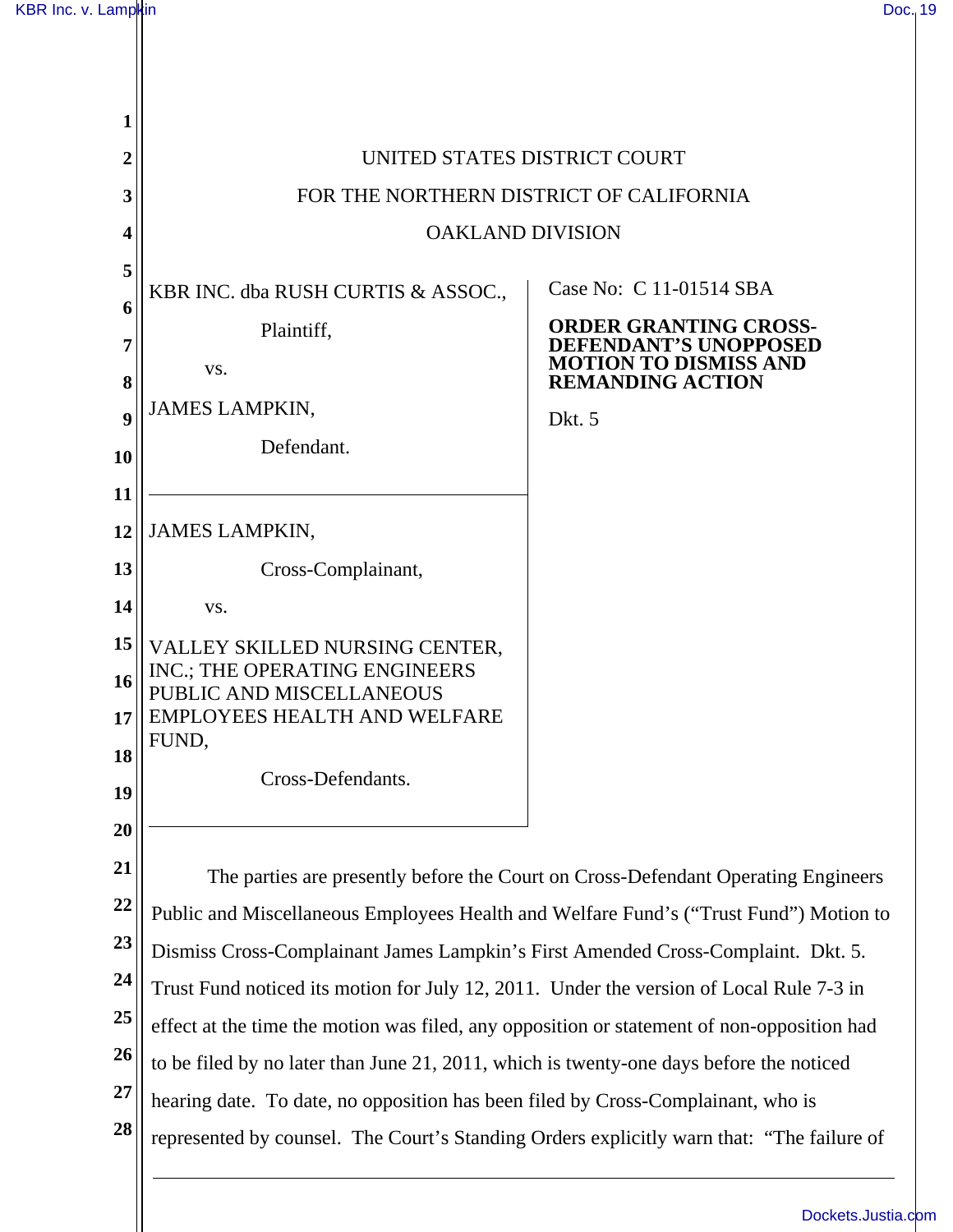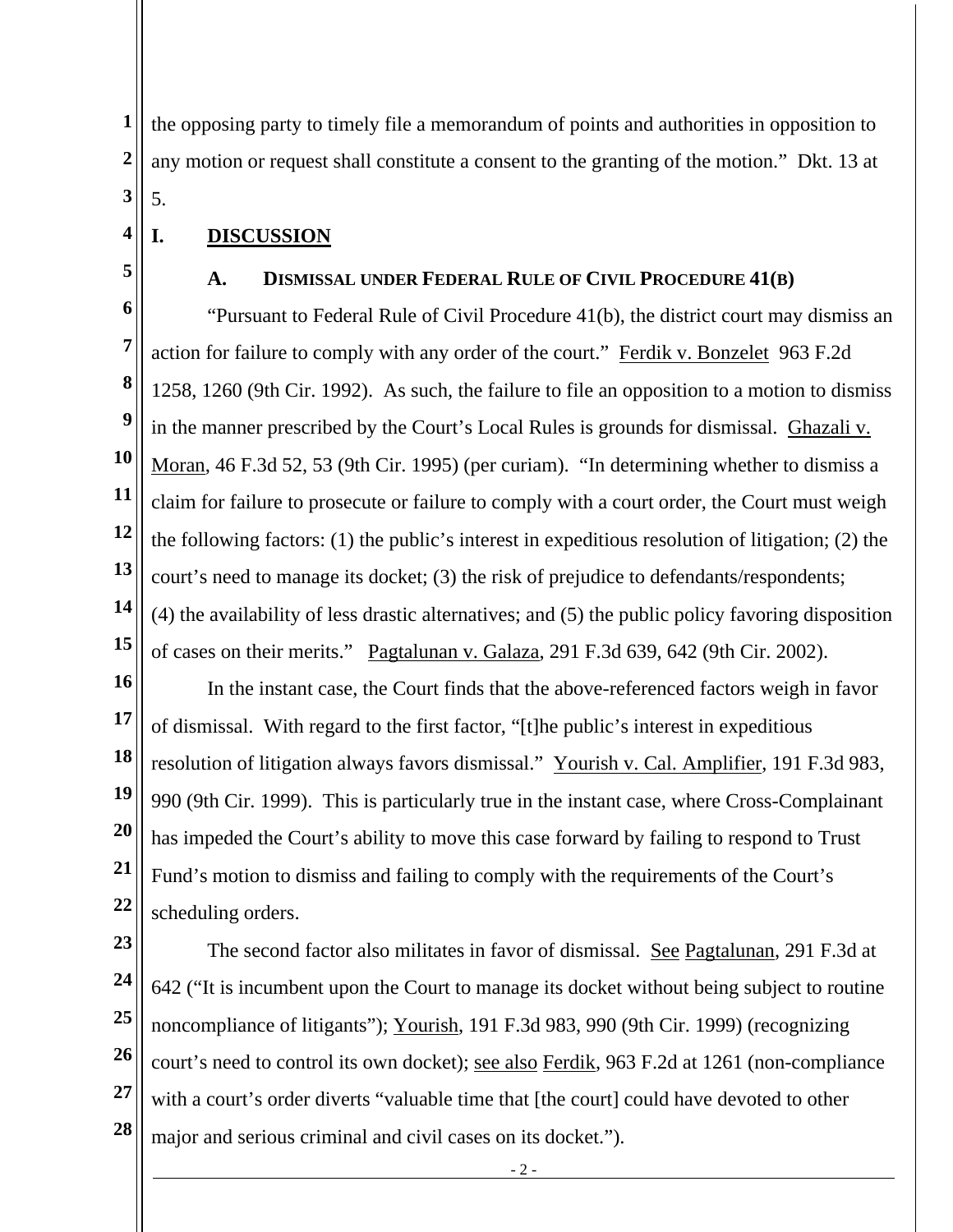**1 2 3**  the opposing party to timely file a memorandum of points and authorities in opposition to any motion or request shall constitute a consent to the granting of the motion." Dkt. 13 at 5.

## **I. DISCUSSION**

**5** 

**4** 

## **A. DISMISSAL UNDER FEDERAL RULE OF CIVIL PROCEDURE 41(B)**

**6 7 8 9 10 11 12 13 14 15**  "Pursuant to Federal Rule of Civil Procedure 41(b), the district court may dismiss an action for failure to comply with any order of the court." Ferdik v. Bonzelet 963 F.2d 1258, 1260 (9th Cir. 1992). As such, the failure to file an opposition to a motion to dismiss in the manner prescribed by the Court's Local Rules is grounds for dismissal. Ghazali v. Moran, 46 F.3d 52, 53 (9th Cir. 1995) (per curiam). "In determining whether to dismiss a claim for failure to prosecute or failure to comply with a court order, the Court must weigh the following factors: (1) the public's interest in expeditious resolution of litigation; (2) the court's need to manage its docket; (3) the risk of prejudice to defendants/respondents; (4) the availability of less drastic alternatives; and (5) the public policy favoring disposition of cases on their merits." Pagtalunan v. Galaza, 291 F.3d 639, 642 (9th Cir. 2002).

**16** 

**17 18 19 20 21 22**  In the instant case, the Court finds that the above-referenced factors weigh in favor of dismissal. With regard to the first factor, "[t]he public's interest in expeditious resolution of litigation always favors dismissal." Yourish v. Cal. Amplifier, 191 F.3d 983, 990 (9th Cir. 1999). This is particularly true in the instant case, where Cross-Complainant has impeded the Court's ability to move this case forward by failing to respond to Trust Fund's motion to dismiss and failing to comply with the requirements of the Court's scheduling orders.

- **23**
- **24**

**25 26 27 28**  The second factor also militates in favor of dismissal. See Pagtalunan, 291 F.3d at 642 ("It is incumbent upon the Court to manage its docket without being subject to routine noncompliance of litigants"); Yourish, 191 F.3d 983, 990 (9th Cir. 1999) (recognizing court's need to control its own docket); see also Ferdik, 963 F.2d at 1261 (non-compliance with a court's order diverts "valuable time that [the court] could have devoted to other major and serious criminal and civil cases on its docket.").

- 2 -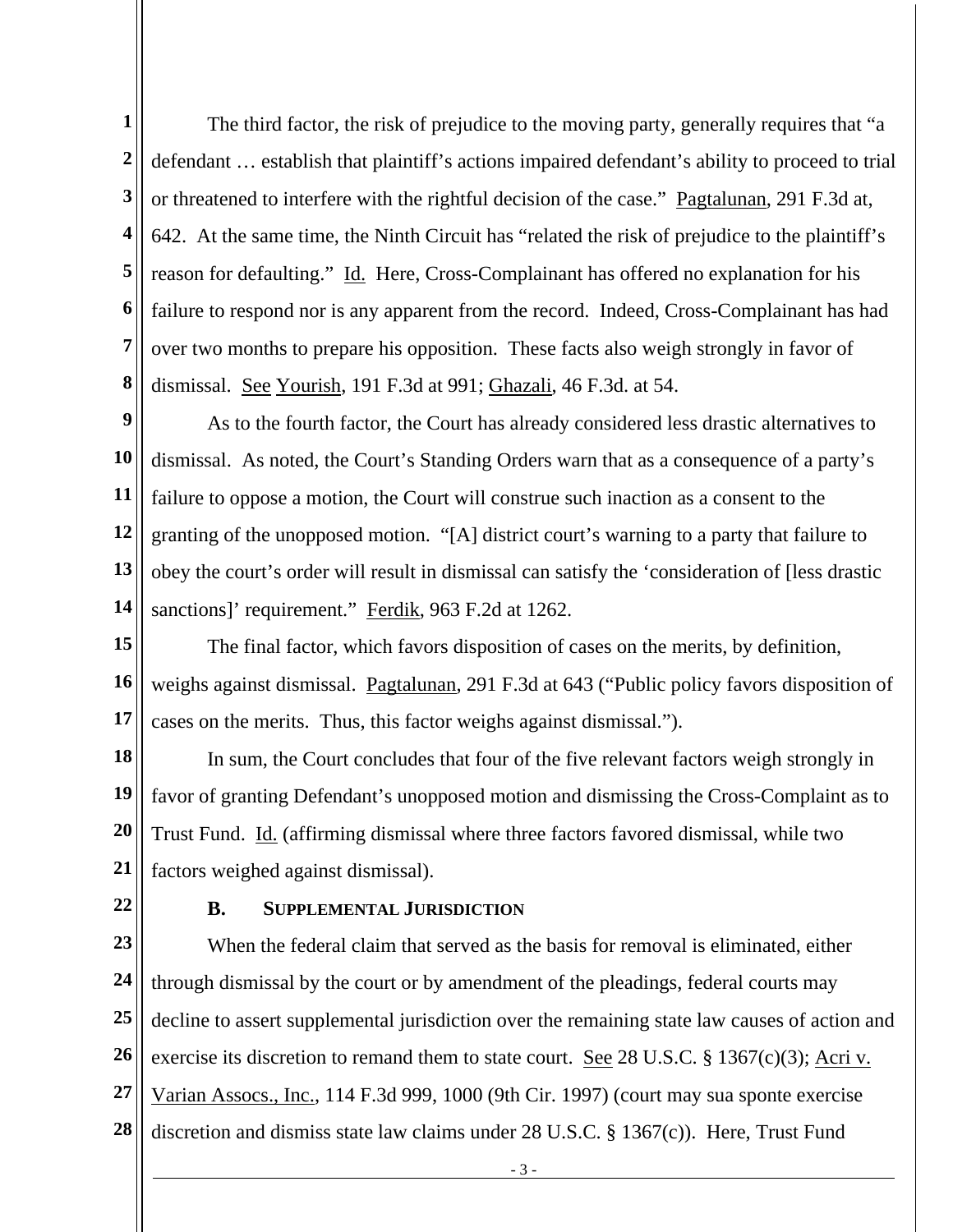**1 2 3 4 5 6 7 8**  The third factor, the risk of prejudice to the moving party, generally requires that "a defendant … establish that plaintiff's actions impaired defendant's ability to proceed to trial or threatened to interfere with the rightful decision of the case." Pagtalunan, 291 F.3d at, 642. At the same time, the Ninth Circuit has "related the risk of prejudice to the plaintiff's reason for defaulting." Id. Here, Cross-Complainant has offered no explanation for his failure to respond nor is any apparent from the record. Indeed, Cross-Complainant has had over two months to prepare his opposition. These facts also weigh strongly in favor of dismissal. See Yourish, 191 F.3d at 991; Ghazali, 46 F.3d. at 54.

**9 10 11 12 13 14**  As to the fourth factor, the Court has already considered less drastic alternatives to dismissal. As noted, the Court's Standing Orders warn that as a consequence of a party's failure to oppose a motion, the Court will construe such inaction as a consent to the granting of the unopposed motion. "[A] district court's warning to a party that failure to obey the court's order will result in dismissal can satisfy the 'consideration of [less drastic sanctions]' requirement." Ferdik, 963 F.2d at 1262.

**15 16 17**  The final factor, which favors disposition of cases on the merits, by definition, weighs against dismissal. Pagtalunan, 291 F.3d at 643 ("Public policy favors disposition of cases on the merits. Thus, this factor weighs against dismissal.").

**18 19 20 21**  In sum, the Court concludes that four of the five relevant factors weigh strongly in favor of granting Defendant's unopposed motion and dismissing the Cross-Complaint as to Trust Fund. Id. (affirming dismissal where three factors favored dismissal, while two factors weighed against dismissal).

**22** 

## **B. SUPPLEMENTAL JURISDICTION**

**23 24 25 26 27 28**  When the federal claim that served as the basis for removal is eliminated, either through dismissal by the court or by amendment of the pleadings, federal courts may decline to assert supplemental jurisdiction over the remaining state law causes of action and exercise its discretion to remand them to state court. See 28 U.S.C. § 1367(c)(3); Acri v. Varian Assocs., Inc., 114 F.3d 999, 1000 (9th Cir. 1997) (court may sua sponte exercise discretion and dismiss state law claims under 28 U.S.C. § 1367(c)). Here, Trust Fund

- 3 -